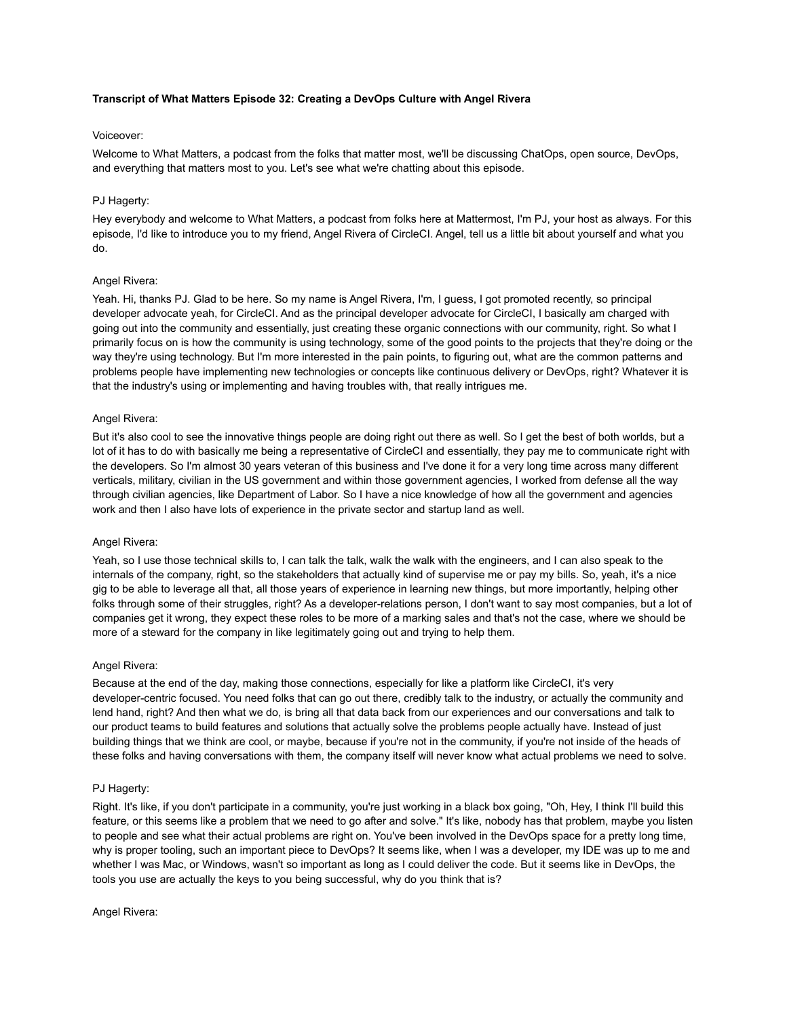# **Transcript of What Matters Episode 32: Creating a DevOps Culture with Angel Rivera**

### Voiceover:

Welcome to What Matters, a podcast from the folks that matter most, we'll be discussing ChatOps, open source, DevOps, and everything that matters most to you. Let's see what we're chatting about this episode.

### PJ Hagerty:

Hey everybody and welcome to What Matters, a podcast from folks here at Mattermost, I'm PJ, your host as always. For this episode, I'd like to introduce you to my friend, Angel Rivera of CircleCI. Angel, tell us a little bit about yourself and what you do.

### Angel Rivera:

Yeah. Hi, thanks PJ. Glad to be here. So my name is Angel Rivera, I'm, I guess, I got promoted recently, so principal developer advocate yeah, for CircleCI. And as the principal developer advocate for CircleCI, I basically am charged with going out into the community and essentially, just creating these organic connections with our community, right. So what I primarily focus on is how the community is using technology, some of the good points to the projects that they're doing or the way they're using technology. But I'm more interested in the pain points, to figuring out, what are the common patterns and problems people have implementing new technologies or concepts like continuous delivery or DevOps, right? Whatever it is that the industry's using or implementing and having troubles with, that really intrigues me.

### Angel Rivera:

But it's also cool to see the innovative things people are doing right out there as well. So I get the best of both worlds, but a lot of it has to do with basically me being a representative of CircleCI and essentially, they pay me to communicate right with the developers. So I'm almost 30 years veteran of this business and I've done it for a very long time across many different verticals, military, civilian in the US government and within those government agencies, I worked from defense all the way through civilian agencies, like Department of Labor. So I have a nice knowledge of how all the government and agencies work and then I also have lots of experience in the private sector and startup land as well.

### Angel Rivera:

Yeah, so I use those technical skills to, I can talk the talk, walk the walk with the engineers, and I can also speak to the internals of the company, right, so the stakeholders that actually kind of supervise me or pay my bills. So, yeah, it's a nice gig to be able to leverage all that, all those years of experience in learning new things, but more importantly, helping other folks through some of their struggles, right? As a developer-relations person, I don't want to say most companies, but a lot of companies get it wrong, they expect these roles to be more of a marking sales and that's not the case, where we should be more of a steward for the company in like legitimately going out and trying to help them.

### Angel Rivera:

Because at the end of the day, making those connections, especially for like a platform like CircleCI, it's very developer-centric focused. You need folks that can go out there, credibly talk to the industry, or actually the community and lend hand, right? And then what we do, is bring all that data back from our experiences and our conversations and talk to our product teams to build features and solutions that actually solve the problems people actually have. Instead of just building things that we think are cool, or maybe, because if you're not in the community, if you're not inside of the heads of these folks and having conversations with them, the company itself will never know what actual problems we need to solve.

### PJ Hagerty:

Right. It's like, if you don't participate in a community, you're just working in a black box going, "Oh, Hey, I think I'll build this feature, or this seems like a problem that we need to go after and solve." It's like, nobody has that problem, maybe you listen to people and see what their actual problems are right on. You've been involved in the DevOps space for a pretty long time, why is proper tooling, such an important piece to DevOps? It seems like, when I was a developer, my IDE was up to me and whether I was Mac, or Windows, wasn't so important as long as I could deliver the code. But it seems like in DevOps, the tools you use are actually the keys to you being successful, why do you think that is?

### Angel Rivera: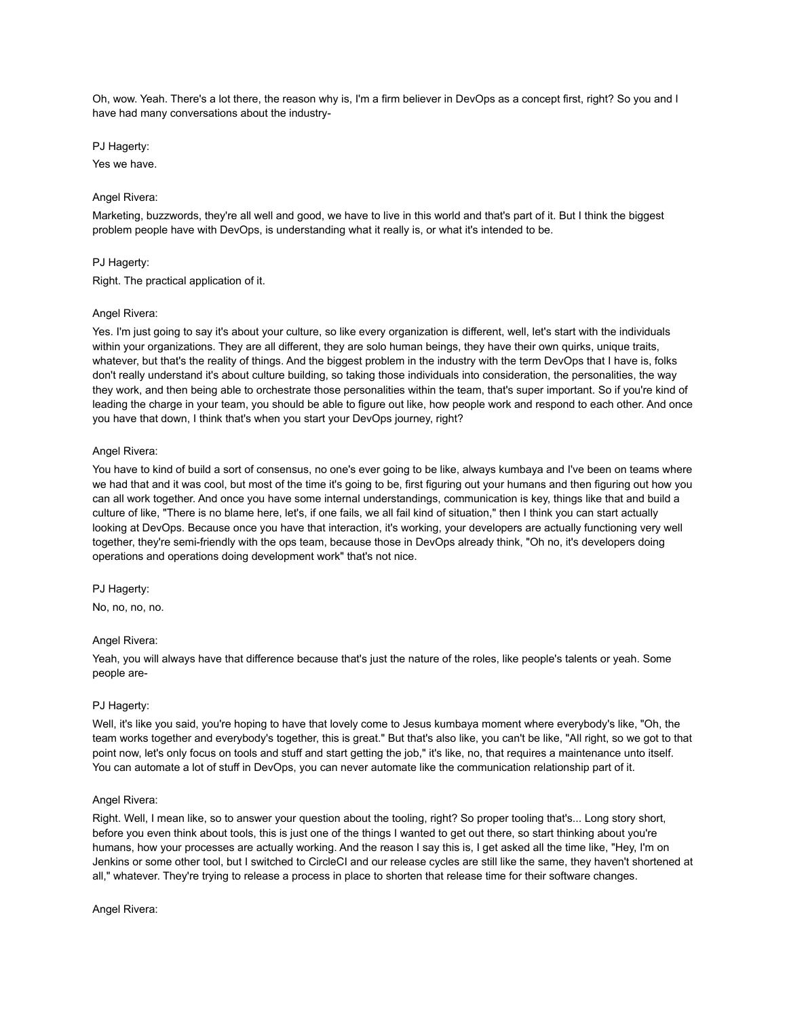Oh, wow. Yeah. There's a lot there, the reason why is, I'm a firm believer in DevOps as a concept first, right? So you and I have had many conversations about the industry-

PJ Hagerty:

Yes we have.

### Angel Rivera:

Marketing, buzzwords, they're all well and good, we have to live in this world and that's part of it. But I think the biggest problem people have with DevOps, is understanding what it really is, or what it's intended to be.

### PJ Hagerty:

Right. The practical application of it.

### Angel Rivera:

Yes. I'm just going to say it's about your culture, so like every organization is different, well, let's start with the individuals within your organizations. They are all different, they are solo human beings, they have their own quirks, unique traits, whatever, but that's the reality of things. And the biggest problem in the industry with the term DevOps that I have is, folks don't really understand it's about culture building, so taking those individuals into consideration, the personalities, the way they work, and then being able to orchestrate those personalities within the team, that's super important. So if you're kind of leading the charge in your team, you should be able to figure out like, how people work and respond to each other. And once you have that down, I think that's when you start your DevOps journey, right?

## Angel Rivera:

You have to kind of build a sort of consensus, no one's ever going to be like, always kumbaya and I've been on teams where we had that and it was cool, but most of the time it's going to be, first figuring out your humans and then figuring out how you can all work together. And once you have some internal understandings, communication is key, things like that and build a culture of like, "There is no blame here, let's, if one fails, we all fail kind of situation," then I think you can start actually looking at DevOps. Because once you have that interaction, it's working, your developers are actually functioning very well together, they're semi-friendly with the ops team, because those in DevOps already think, "Oh no, it's developers doing operations and operations doing development work" that's not nice.

### PJ Hagerty:

No, no, no, no.

### Angel Rivera:

Yeah, you will always have that difference because that's just the nature of the roles, like people's talents or yeah. Some people are-

### PJ Hagerty:

Well, it's like you said, you're hoping to have that lovely come to Jesus kumbaya moment where everybody's like, "Oh, the team works together and everybody's together, this is great." But that's also like, you can't be like, "All right, so we got to that point now, let's only focus on tools and stuff and start getting the job," it's like, no, that requires a maintenance unto itself. You can automate a lot of stuff in DevOps, you can never automate like the communication relationship part of it.

### Angel Rivera:

Right. Well, I mean like, so to answer your question about the tooling, right? So proper tooling that's... Long story short, before you even think about tools, this is just one of the things I wanted to get out there, so start thinking about you're humans, how your processes are actually working. And the reason I say this is, I get asked all the time like, "Hey, I'm on Jenkins or some other tool, but I switched to CircleCI and our release cycles are still like the same, they haven't shortened at all," whatever. They're trying to release a process in place to shorten that release time for their software changes.

Angel Rivera: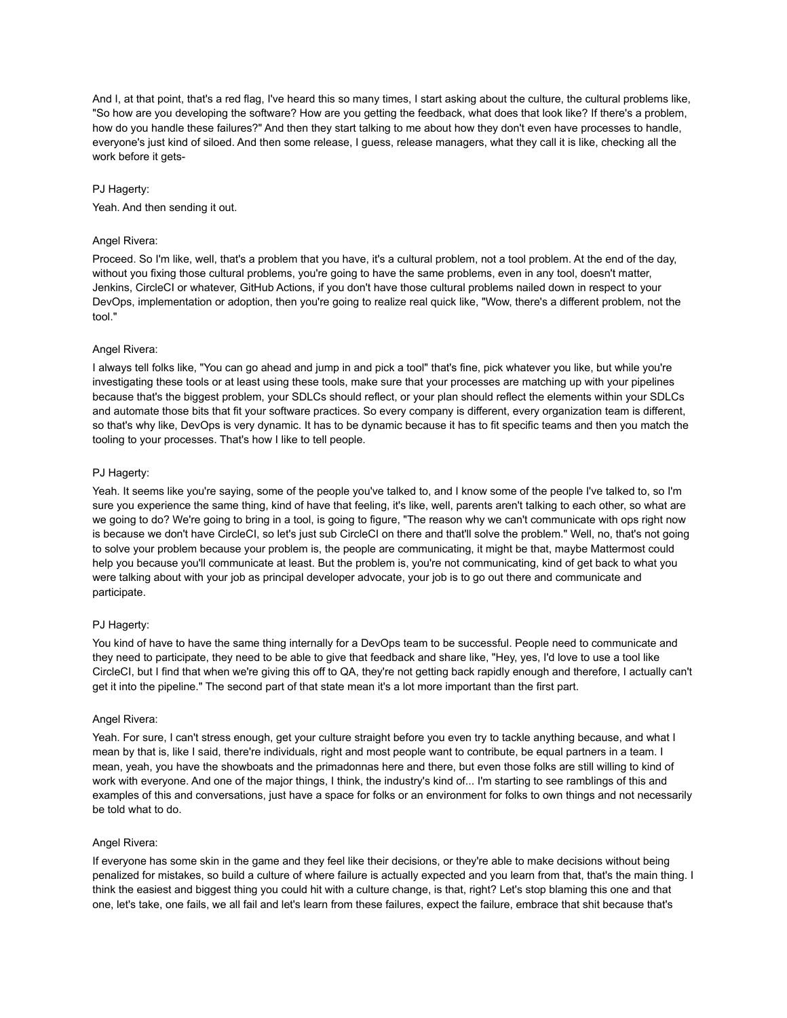And I, at that point, that's a red flag, I've heard this so many times, I start asking about the culture, the cultural problems like, "So how are you developing the software? How are you getting the feedback, what does that look like? If there's a problem, how do you handle these failures?" And then they start talking to me about how they don't even have processes to handle, everyone's just kind of siloed. And then some release, I guess, release managers, what they call it is like, checking all the work before it gets-

# PJ Hagerty:

Yeah. And then sending it out.

# Angel Rivera:

Proceed. So I'm like, well, that's a problem that you have, it's a cultural problem, not a tool problem. At the end of the day, without you fixing those cultural problems, you're going to have the same problems, even in any tool, doesn't matter, Jenkins, CircleCI or whatever, GitHub Actions, if you don't have those cultural problems nailed down in respect to your DevOps, implementation or adoption, then you're going to realize real quick like, "Wow, there's a different problem, not the tool."

# Angel Rivera:

I always tell folks like, "You can go ahead and jump in and pick a tool" that's fine, pick whatever you like, but while you're investigating these tools or at least using these tools, make sure that your processes are matching up with your pipelines because that's the biggest problem, your SDLCs should reflect, or your plan should reflect the elements within your SDLCs and automate those bits that fit your software practices. So every company is different, every organization team is different, so that's why like, DevOps is very dynamic. It has to be dynamic because it has to fit specific teams and then you match the tooling to your processes. That's how I like to tell people.

# PJ Hagerty:

Yeah. It seems like you're saying, some of the people you've talked to, and I know some of the people I've talked to, so I'm sure you experience the same thing, kind of have that feeling, it's like, well, parents aren't talking to each other, so what are we going to do? We're going to bring in a tool, is going to figure, "The reason why we can't communicate with ops right now is because we don't have CircleCI, so let's just sub CircleCI on there and that'll solve the problem." Well, no, that's not going to solve your problem because your problem is, the people are communicating, it might be that, maybe Mattermost could help you because you'll communicate at least. But the problem is, you're not communicating, kind of get back to what you were talking about with your job as principal developer advocate, your job is to go out there and communicate and participate.

# PJ Hagerty:

You kind of have to have the same thing internally for a DevOps team to be successful. People need to communicate and they need to participate, they need to be able to give that feedback and share like, "Hey, yes, I'd love to use a tool like CircleCI, but I find that when we're giving this off to QA, they're not getting back rapidly enough and therefore, I actually can't get it into the pipeline." The second part of that state mean it's a lot more important than the first part.

## Angel Rivera:

Yeah. For sure, I can't stress enough, get your culture straight before you even try to tackle anything because, and what I mean by that is, like I said, there're individuals, right and most people want to contribute, be equal partners in a team. I mean, yeah, you have the showboats and the primadonnas here and there, but even those folks are still willing to kind of work with everyone. And one of the major things, I think, the industry's kind of... I'm starting to see ramblings of this and examples of this and conversations, just have a space for folks or an environment for folks to own things and not necessarily be told what to do.

## Angel Rivera:

If everyone has some skin in the game and they feel like their decisions, or they're able to make decisions without being penalized for mistakes, so build a culture of where failure is actually expected and you learn from that, that's the main thing. I think the easiest and biggest thing you could hit with a culture change, is that, right? Let's stop blaming this one and that one, let's take, one fails, we all fail and let's learn from these failures, expect the failure, embrace that shit because that's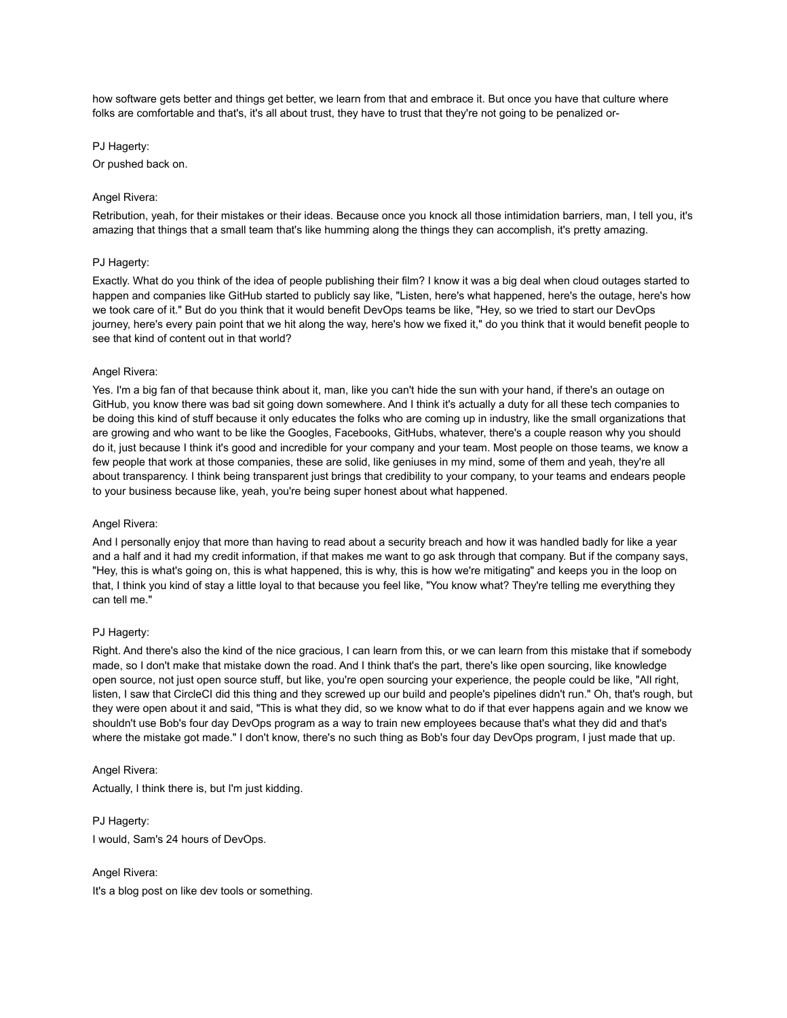how software gets better and things get better, we learn from that and embrace it. But once you have that culture where folks are comfortable and that's, it's all about trust, they have to trust that they're not going to be penalized or-

### PJ Hagerty:

Or pushed back on.

### Angel Rivera:

Retribution, yeah, for their mistakes or their ideas. Because once you knock all those intimidation barriers, man, I tell you, it's amazing that things that a small team that's like humming along the things they can accomplish, it's pretty amazing.

### PJ Hagerty:

Exactly. What do you think of the idea of people publishing their film? I know it was a big deal when cloud outages started to happen and companies like GitHub started to publicly say like, "Listen, here's what happened, here's the outage, here's how we took care of it." But do you think that it would benefit DevOps teams be like, "Hey, so we tried to start our DevOps journey, here's every pain point that we hit along the way, here's how we fixed it," do you think that it would benefit people to see that kind of content out in that world?

### Angel Rivera:

Yes. I'm a big fan of that because think about it, man, like you can't hide the sun with your hand, if there's an outage on GitHub, you know there was bad sit going down somewhere. And I think it's actually a duty for all these tech companies to be doing this kind of stuff because it only educates the folks who are coming up in industry, like the small organizations that are growing and who want to be like the Googles, Facebooks, GitHubs, whatever, there's a couple reason why you should do it, just because I think it's good and incredible for your company and your team. Most people on those teams, we know a few people that work at those companies, these are solid, like geniuses in my mind, some of them and yeah, they're all about transparency. I think being transparent just brings that credibility to your company, to your teams and endears people to your business because like, yeah, you're being super honest about what happened.

### Angel Rivera:

And I personally enjoy that more than having to read about a security breach and how it was handled badly for like a year and a half and it had my credit information, if that makes me want to go ask through that company. But if the company says, "Hey, this is what's going on, this is what happened, this is why, this is how we're mitigating" and keeps you in the loop on that, I think you kind of stay a little loyal to that because you feel like, "You know what? They're telling me everything they can tell me."

## PJ Hagerty:

Right. And there's also the kind of the nice gracious, I can learn from this, or we can learn from this mistake that if somebody made, so I don't make that mistake down the road. And I think that's the part, there's like open sourcing, like knowledge open source, not just open source stuff, but like, you're open sourcing your experience, the people could be like, "All right, listen, I saw that CircleCI did this thing and they screwed up our build and people's pipelines didn't run." Oh, that's rough, but they were open about it and said, "This is what they did, so we know what to do if that ever happens again and we know we shouldn't use Bob's four day DevOps program as a way to train new employees because that's what they did and that's where the mistake got made." I don't know, there's no such thing as Bob's four day DevOps program, I just made that up.

### Angel Rivera:

Actually, I think there is, but I'm just kidding.

PJ Hagerty: I would, Sam's 24 hours of DevOps.

Angel Rivera:

It's a blog post on like dev tools or something.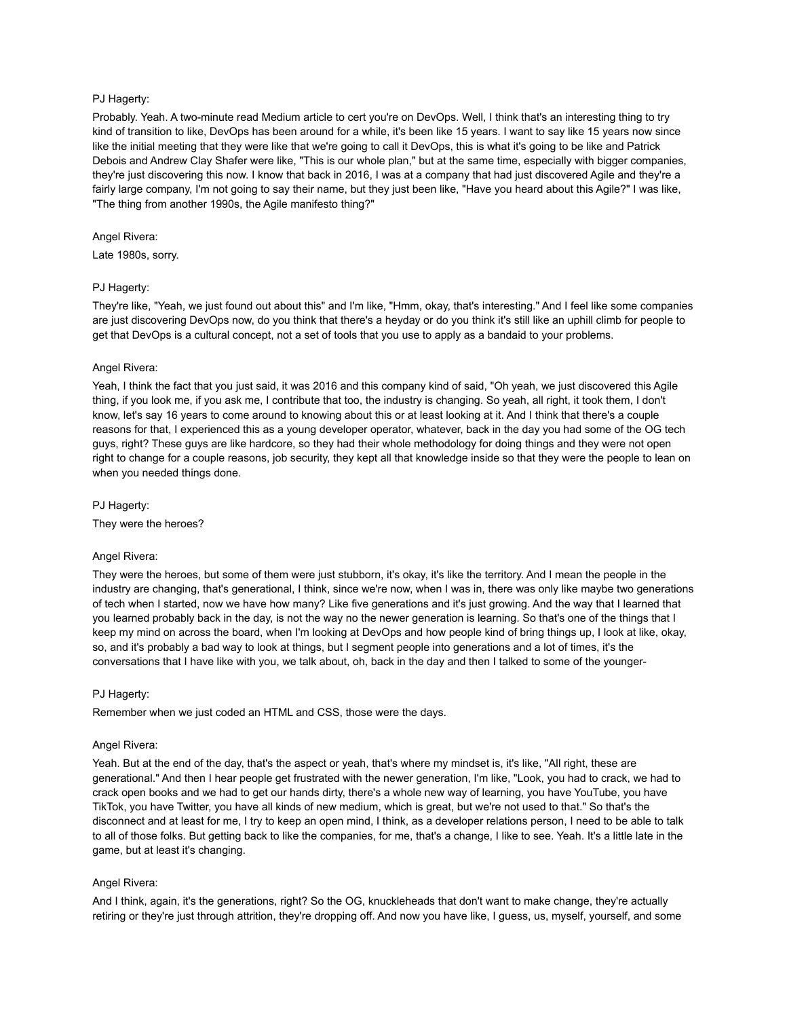# PJ Hagerty:

Probably. Yeah. A two-minute read Medium article to cert you're on DevOps. Well, I think that's an interesting thing to try kind of transition to like, DevOps has been around for a while, it's been like 15 years. I want to say like 15 years now since like the initial meeting that they were like that we're going to call it DevOps, this is what it's going to be like and Patrick Debois and Andrew Clay Shafer were like, "This is our whole plan," but at the same time, especially with bigger companies, they're just discovering this now. I know that back in 2016, I was at a company that had just discovered Agile and they're a fairly large company, I'm not going to say their name, but they just been like, "Have you heard about this Agile?" I was like, "The thing from another 1990s, the Agile manifesto thing?"

## Angel Rivera:

Late 1980s, sorry.

## PJ Hagerty:

They're like, "Yeah, we just found out about this" and I'm like, "Hmm, okay, that's interesting." And I feel like some companies are just discovering DevOps now, do you think that there's a heyday or do you think it's still like an uphill climb for people to get that DevOps is a cultural concept, not a set of tools that you use to apply as a bandaid to your problems.

### Angel Rivera:

Yeah, I think the fact that you just said, it was 2016 and this company kind of said, "Oh yeah, we just discovered this Agile thing, if you look me, if you ask me, I contribute that too, the industry is changing. So yeah, all right, it took them, I don't know, let's say 16 years to come around to knowing about this or at least looking at it. And I think that there's a couple reasons for that, I experienced this as a young developer operator, whatever, back in the day you had some of the OG tech guys, right? These guys are like hardcore, so they had their whole methodology for doing things and they were not open right to change for a couple reasons, job security, they kept all that knowledge inside so that they were the people to lean on when you needed things done.

PJ Hagerty:

They were the heroes?

## Angel Rivera:

They were the heroes, but some of them were just stubborn, it's okay, it's like the territory. And I mean the people in the industry are changing, that's generational, I think, since we're now, when I was in, there was only like maybe two generations of tech when I started, now we have how many? Like five generations and it's just growing. And the way that I learned that you learned probably back in the day, is not the way no the newer generation is learning. So that's one of the things that I keep my mind on across the board, when I'm looking at DevOps and how people kind of bring things up, I look at like, okay, so, and it's probably a bad way to look at things, but I segment people into generations and a lot of times, it's the conversations that I have like with you, we talk about, oh, back in the day and then I talked to some of the younger-

### PJ Hagerty:

Remember when we just coded an HTML and CSS, those were the days.

### Angel Rivera:

Yeah. But at the end of the day, that's the aspect or yeah, that's where my mindset is, it's like, "All right, these are generational." And then I hear people get frustrated with the newer generation, I'm like, "Look, you had to crack, we had to crack open books and we had to get our hands dirty, there's a whole new way of learning, you have YouTube, you have TikTok, you have Twitter, you have all kinds of new medium, which is great, but we're not used to that." So that's the disconnect and at least for me, I try to keep an open mind, I think, as a developer relations person, I need to be able to talk to all of those folks. But getting back to like the companies, for me, that's a change, I like to see. Yeah. It's a little late in the game, but at least it's changing.

## Angel Rivera:

And I think, again, it's the generations, right? So the OG, knuckleheads that don't want to make change, they're actually retiring or they're just through attrition, they're dropping off. And now you have like, I guess, us, myself, yourself, and some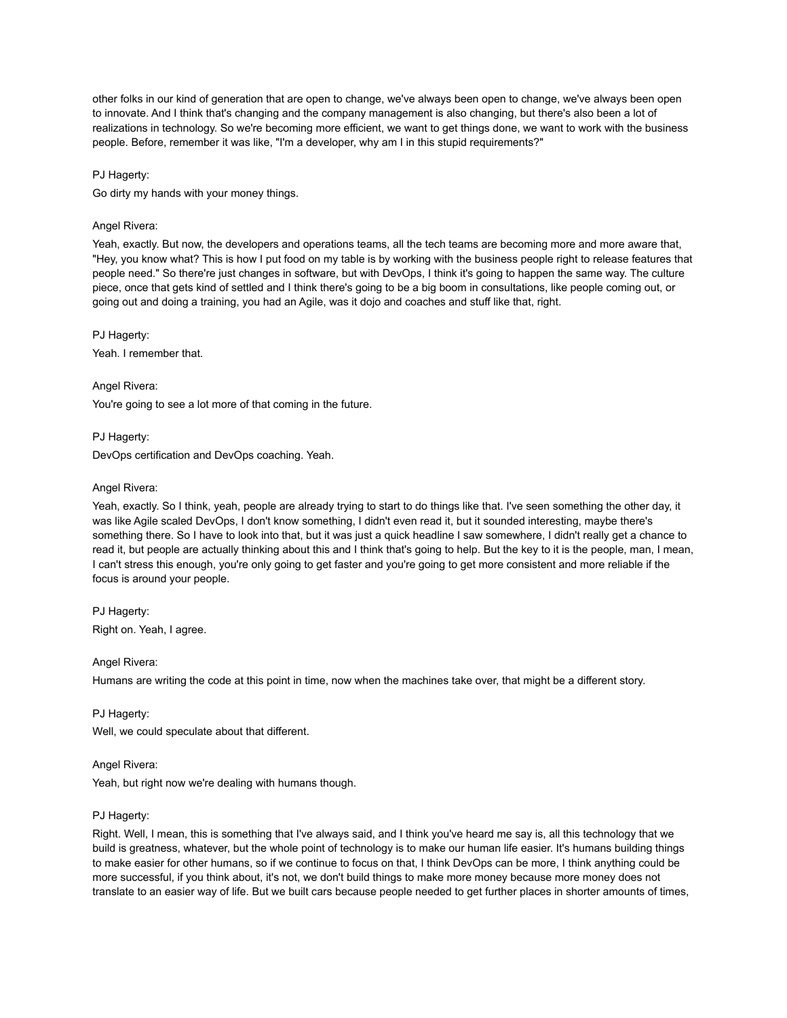other folks in our kind of generation that are open to change, we've always been open to change, we've always been open to innovate. And I think that's changing and the company management is also changing, but there's also been a lot of realizations in technology. So we're becoming more efficient, we want to get things done, we want to work with the business people. Before, remember it was like, "I'm a developer, why am I in this stupid requirements?"

# PJ Hagerty:

Go dirty my hands with your money things.

# Angel Rivera:

Yeah, exactly. But now, the developers and operations teams, all the tech teams are becoming more and more aware that, "Hey, you know what? This is how I put food on my table is by working with the business people right to release features that people need." So there're just changes in software, but with DevOps, I think it's going to happen the same way. The culture piece, once that gets kind of settled and I think there's going to be a big boom in consultations, like people coming out, or going out and doing a training, you had an Agile, was it dojo and coaches and stuff like that, right.

PJ Hagerty:

Yeah. I remember that.

Angel Rivera:

You're going to see a lot more of that coming in the future.

PJ Hagerty:

DevOps certification and DevOps coaching. Yeah.

## Angel Rivera:

Yeah, exactly. So I think, yeah, people are already trying to start to do things like that. I've seen something the other day, it was like Agile scaled DevOps, I don't know something, I didn't even read it, but it sounded interesting, maybe there's something there. So I have to look into that, but it was just a quick headline I saw somewhere, I didn't really get a chance to read it, but people are actually thinking about this and I think that's going to help. But the key to it is the people, man, I mean, I can't stress this enough, you're only going to get faster and you're going to get more consistent and more reliable if the focus is around your people.

PJ Hagerty: Right on. Yeah, I agree.

Angel Rivera:

Humans are writing the code at this point in time, now when the machines take over, that might be a different story.

PJ Hagerty: Well, we could speculate about that different.

## Angel Rivera:

Yeah, but right now we're dealing with humans though.

## PJ Hagerty:

Right. Well, I mean, this is something that I've always said, and I think you've heard me say is, all this technology that we build is greatness, whatever, but the whole point of technology is to make our human life easier. It's humans building things to make easier for other humans, so if we continue to focus on that, I think DevOps can be more, I think anything could be more successful, if you think about, it's not, we don't build things to make more money because more money does not translate to an easier way of life. But we built cars because people needed to get further places in shorter amounts of times,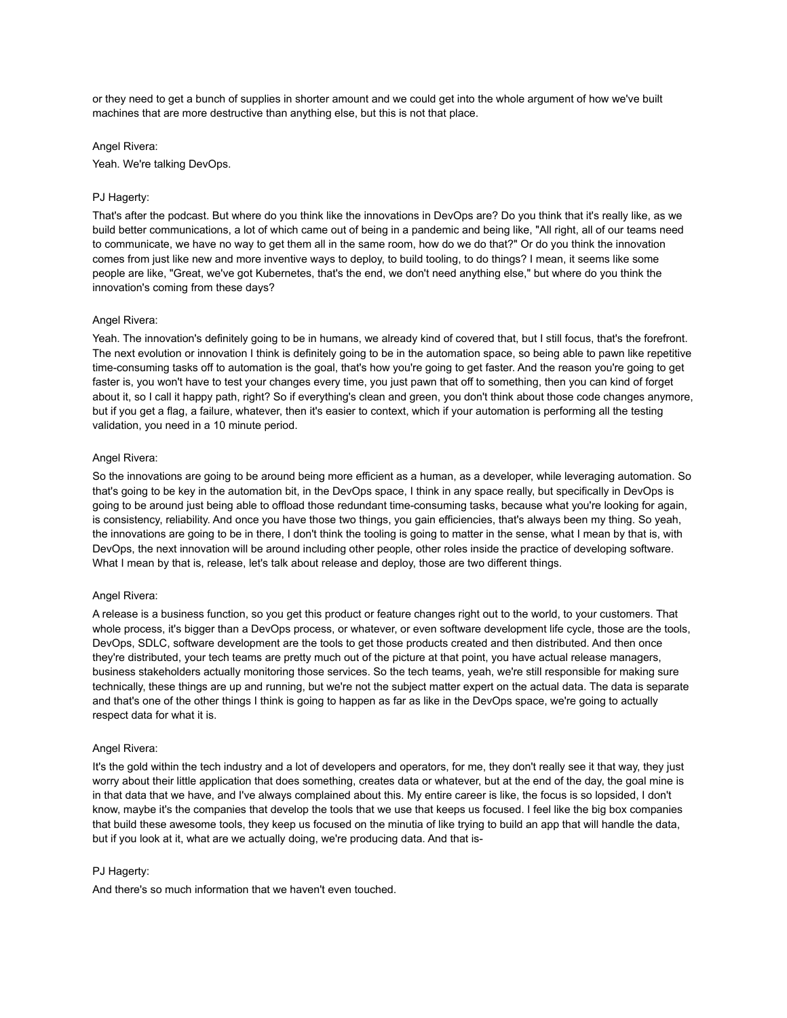or they need to get a bunch of supplies in shorter amount and we could get into the whole argument of how we've built machines that are more destructive than anything else, but this is not that place.

### Angel Rivera:

Yeah. We're talking DevOps.

# PJ Hagerty:

That's after the podcast. But where do you think like the innovations in DevOps are? Do you think that it's really like, as we build better communications, a lot of which came out of being in a pandemic and being like, "All right, all of our teams need to communicate, we have no way to get them all in the same room, how do we do that?" Or do you think the innovation comes from just like new and more inventive ways to deploy, to build tooling, to do things? I mean, it seems like some people are like, "Great, we've got Kubernetes, that's the end, we don't need anything else," but where do you think the innovation's coming from these days?

### Angel Rivera:

Yeah. The innovation's definitely going to be in humans, we already kind of covered that, but I still focus, that's the forefront. The next evolution or innovation I think is definitely going to be in the automation space, so being able to pawn like repetitive time-consuming tasks off to automation is the goal, that's how you're going to get faster. And the reason you're going to get faster is, you won't have to test your changes every time, you just pawn that off to something, then you can kind of forget about it, so I call it happy path, right? So if everything's clean and green, you don't think about those code changes anymore, but if you get a flag, a failure, whatever, then it's easier to context, which if your automation is performing all the testing validation, you need in a 10 minute period.

# Angel Rivera:

So the innovations are going to be around being more efficient as a human, as a developer, while leveraging automation. So that's going to be key in the automation bit, in the DevOps space, I think in any space really, but specifically in DevOps is going to be around just being able to offload those redundant time-consuming tasks, because what you're looking for again, is consistency, reliability. And once you have those two things, you gain efficiencies, that's always been my thing. So yeah, the innovations are going to be in there, I don't think the tooling is going to matter in the sense, what I mean by that is, with DevOps, the next innovation will be around including other people, other roles inside the practice of developing software. What I mean by that is, release, let's talk about release and deploy, those are two different things.

### Angel Rivera:

A release is a business function, so you get this product or feature changes right out to the world, to your customers. That whole process, it's bigger than a DevOps process, or whatever, or even software development life cycle, those are the tools, DevOps, SDLC, software development are the tools to get those products created and then distributed. And then once they're distributed, your tech teams are pretty much out of the picture at that point, you have actual release managers, business stakeholders actually monitoring those services. So the tech teams, yeah, we're still responsible for making sure technically, these things are up and running, but we're not the subject matter expert on the actual data. The data is separate and that's one of the other things I think is going to happen as far as like in the DevOps space, we're going to actually respect data for what it is.

### Angel Rivera:

It's the gold within the tech industry and a lot of developers and operators, for me, they don't really see it that way, they just worry about their little application that does something, creates data or whatever, but at the end of the day, the goal mine is in that data that we have, and I've always complained about this. My entire career is like, the focus is so lopsided, I don't know, maybe it's the companies that develop the tools that we use that keeps us focused. I feel like the big box companies that build these awesome tools, they keep us focused on the minutia of like trying to build an app that will handle the data, but if you look at it, what are we actually doing, we're producing data. And that is-

### PJ Hagerty:

And there's so much information that we haven't even touched.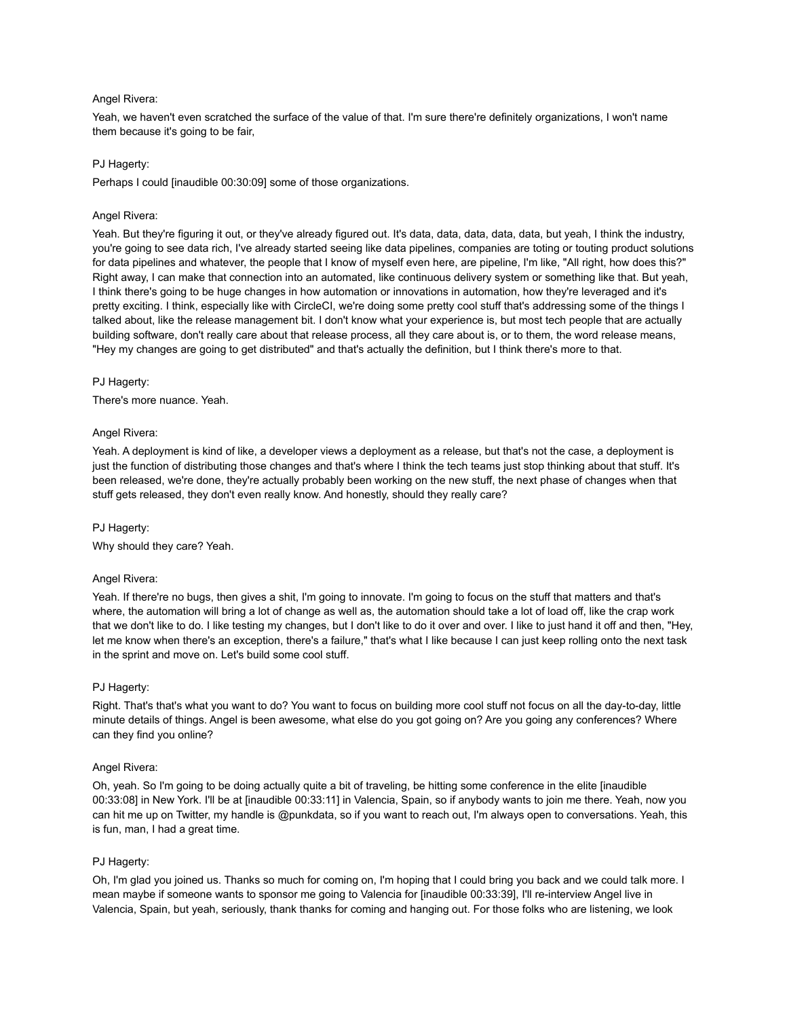## Angel Rivera:

Yeah, we haven't even scratched the surface of the value of that. I'm sure there're definitely organizations, I won't name them because it's going to be fair,

## PJ Hagerty:

Perhaps I could [inaudible 00:30:09] some of those organizations.

# Angel Rivera:

Yeah. But they're figuring it out, or they've already figured out. It's data, data, data, data, data, but yeah, I think the industry, you're going to see data rich, I've already started seeing like data pipelines, companies are toting or touting product solutions for data pipelines and whatever, the people that I know of myself even here, are pipeline, I'm like, "All right, how does this?" Right away, I can make that connection into an automated, like continuous delivery system or something like that. But yeah, I think there's going to be huge changes in how automation or innovations in automation, how they're leveraged and it's pretty exciting. I think, especially like with CircleCI, we're doing some pretty cool stuff that's addressing some of the things I talked about, like the release management bit. I don't know what your experience is, but most tech people that are actually building software, don't really care about that release process, all they care about is, or to them, the word release means, "Hey my changes are going to get distributed" and that's actually the definition, but I think there's more to that.

## PJ Hagerty:

There's more nuance. Yeah.

## Angel Rivera:

Yeah. A deployment is kind of like, a developer views a deployment as a release, but that's not the case, a deployment is just the function of distributing those changes and that's where I think the tech teams just stop thinking about that stuff. It's been released, we're done, they're actually probably been working on the new stuff, the next phase of changes when that stuff gets released, they don't even really know. And honestly, should they really care?

## PJ Hagerty:

Why should they care? Yeah.

## Angel Rivera:

Yeah. If there're no bugs, then gives a shit, I'm going to innovate. I'm going to focus on the stuff that matters and that's where, the automation will bring a lot of change as well as, the automation should take a lot of load off, like the crap work that we don't like to do. I like testing my changes, but I don't like to do it over and over. I like to just hand it off and then, "Hey, let me know when there's an exception, there's a failure," that's what I like because I can just keep rolling onto the next task in the sprint and move on. Let's build some cool stuff.

## PJ Hagerty:

Right. That's that's what you want to do? You want to focus on building more cool stuff not focus on all the day-to-day, little minute details of things. Angel is been awesome, what else do you got going on? Are you going any conferences? Where can they find you online?

## Angel Rivera:

Oh, yeah. So I'm going to be doing actually quite a bit of traveling, be hitting some conference in the elite [inaudible 00:33:08] in New York. I'll be at [inaudible 00:33:11] in Valencia, Spain, so if anybody wants to join me there. Yeah, now you can hit me up on Twitter, my handle is @punkdata, so if you want to reach out, I'm always open to conversations. Yeah, this is fun, man, I had a great time.

# PJ Hagerty:

Oh, I'm glad you joined us. Thanks so much for coming on, I'm hoping that I could bring you back and we could talk more. I mean maybe if someone wants to sponsor me going to Valencia for [inaudible 00:33:39], I'll re-interview Angel live in Valencia, Spain, but yeah, seriously, thank thanks for coming and hanging out. For those folks who are listening, we look